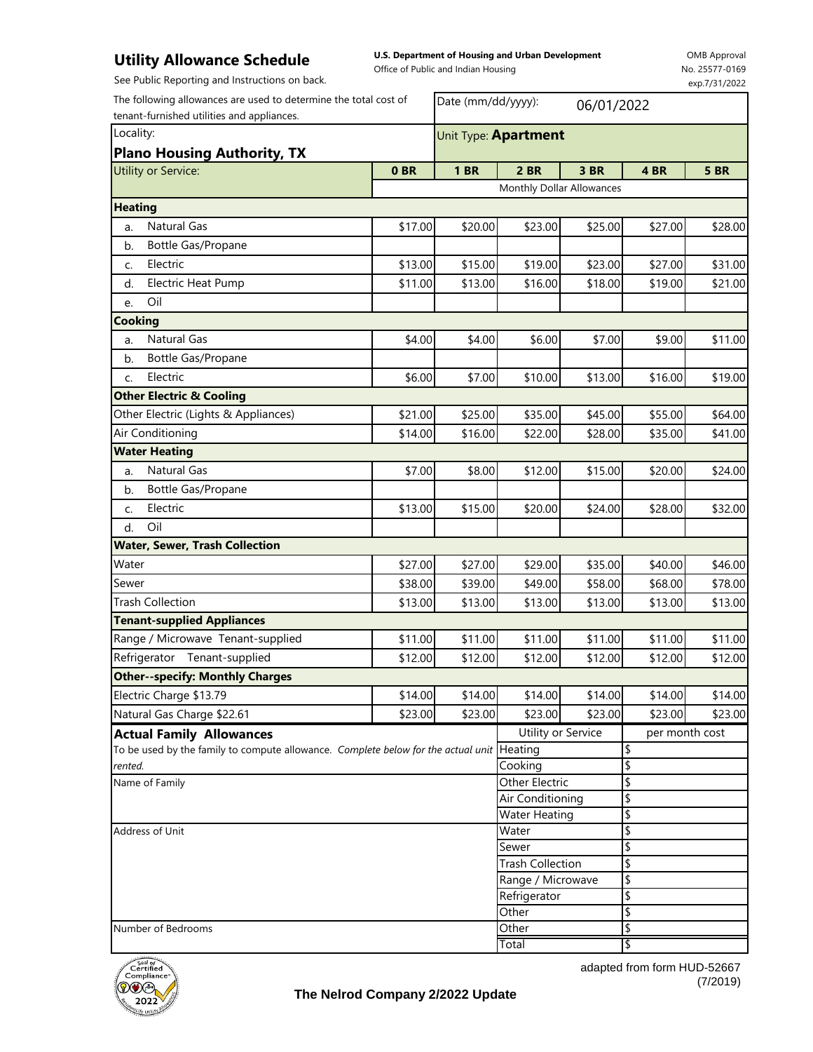## **Utility Allowance Schedule**

**U.S. Department of Housing and Urban Development** 

Office of Public and Indian Housing

OMB Approval No. 25577-0169 exp.7/31/2022

See Public Reporting and Instructions on back.

| The following allowances are used to determine the total cost of<br>tenant-furnished utilities and appliances. |         | Date (mm/dd/yyyy):                     |                           | 06/01/2022     |                |             |
|----------------------------------------------------------------------------------------------------------------|---------|----------------------------------------|---------------------------|----------------|----------------|-------------|
| Locality:                                                                                                      |         | Unit Type: Apartment                   |                           |                |                |             |
| <b>Plano Housing Authority, TX</b>                                                                             |         |                                        |                           |                |                |             |
| Utility or Service:                                                                                            | 0BR     | <b>1 BR</b>                            | <b>2 BR</b>               | 3 BR           | 4BR            | <b>5 BR</b> |
|                                                                                                                |         |                                        | Monthly Dollar Allowances |                |                |             |
| <b>Heating</b>                                                                                                 |         |                                        |                           |                |                |             |
| <b>Natural Gas</b><br>a.                                                                                       | \$17.00 | \$20.00                                | \$23.00                   | \$25.00        | \$27.00        | \$28.00     |
| b.<br>Bottle Gas/Propane                                                                                       |         |                                        |                           |                |                |             |
| Electric<br>c.                                                                                                 | \$13.00 | \$15.00                                | \$19.00                   | \$23.00        | \$27.00        | \$31.00     |
| <b>Electric Heat Pump</b><br>d.                                                                                | \$11.00 | \$13.00                                | \$16.00                   | \$18.00        | \$19.00        | \$21.00     |
| Oil<br>e.                                                                                                      |         |                                        |                           |                |                |             |
| <b>Cooking</b>                                                                                                 |         |                                        |                           |                |                |             |
| Natural Gas<br>a.                                                                                              | \$4.00  | \$4.00                                 | \$6.00                    | \$7.00         | \$9.00         | \$11.00     |
| Bottle Gas/Propane<br>b.                                                                                       |         |                                        |                           |                |                |             |
| Electric<br>C.                                                                                                 | \$6.00  | \$7.00                                 | \$10.00                   | \$13.00        | \$16.00        | \$19.00     |
| <b>Other Electric &amp; Cooling</b>                                                                            |         |                                        |                           |                |                |             |
| Other Electric (Lights & Appliances)                                                                           | \$21.00 | \$25.00                                | \$35.00                   | \$45.00        | \$55.00        | \$64.00     |
| Air Conditioning                                                                                               | \$14.00 | \$16.00                                | \$22.00                   | \$28.00        | \$35.00        | \$41.00     |
| <b>Water Heating</b>                                                                                           |         |                                        |                           |                |                |             |
| Natural Gas<br>a.                                                                                              | \$7.00  | \$8.00                                 | \$12.00                   | \$15.00        | \$20.00        | \$24.00     |
| Bottle Gas/Propane<br>b.                                                                                       |         |                                        |                           |                |                |             |
| Electric<br>C.                                                                                                 | \$13.00 | \$15.00                                | \$20.00                   | \$24.00        | \$28.00        | \$32.00     |
| Oil<br>d.                                                                                                      |         |                                        |                           |                |                |             |
| <b>Water, Sewer, Trash Collection</b>                                                                          |         |                                        |                           |                |                |             |
| Water                                                                                                          | \$27.00 | \$27.00                                | \$29.00                   | \$35.00        | \$40.00        | \$46.00     |
| Sewer                                                                                                          | \$38.00 | \$39.00                                | \$49.00                   | \$58.00        | \$68.00        | \$78.00     |
| <b>Trash Collection</b>                                                                                        | \$13.00 | \$13.00                                | \$13.00                   | \$13.00        | \$13.00        | \$13.00     |
| <b>Tenant-supplied Appliances</b>                                                                              |         |                                        |                           |                |                |             |
| Range / Microwave Tenant-supplied                                                                              | \$11.00 | \$11.00                                | \$11.00                   | \$11.00        | \$11.00        | \$11.00     |
| Refrigerator<br>Tenant-supplied                                                                                | \$12.00 | \$12.00                                | \$12.00                   | \$12.00        | \$12.00        | \$12.00     |
| <b>Other--specify: Monthly Charges</b>                                                                         |         |                                        |                           |                |                |             |
| Electric Charge \$13.79                                                                                        | \$14.00 | \$14.00                                | \$14.00                   | \$14.00        | \$14.00        | \$14.00     |
| Natural Gas Charge \$22.61                                                                                     | \$23.00 | \$23.00                                | \$23.00                   | \$23.00        | \$23.00        | \$23.00     |
| <b>Actual Family Allowances</b>                                                                                |         |                                        | Utility or Service        |                | per month cost |             |
| To be used by the family to compute allowance. Complete below for the actual unit Heating                      |         |                                        |                           |                | \$             |             |
| rented.                                                                                                        |         |                                        | Cooking                   |                | \$             |             |
| Name of Family<br>Address of Unit                                                                              |         |                                        | Other Electric            |                | \$             |             |
|                                                                                                                |         |                                        | Air Conditioning          |                | \$             |             |
|                                                                                                                |         | <b>Water Heating</b><br>Water<br>Sewer |                           | \$<br>\$<br>\$ |                |             |
|                                                                                                                |         |                                        |                           |                |                |             |
|                                                                                                                |         |                                        | <b>Trash Collection</b>   |                | \$             |             |
|                                                                                                                |         |                                        | Range / Microwave         |                | \$             |             |
|                                                                                                                |         |                                        | Refrigerator              |                | \$             |             |
|                                                                                                                |         |                                        | Other                     |                | $\frac{1}{2}$  |             |
| Number of Bedrooms                                                                                             |         |                                        | Other                     |                | \$             |             |
|                                                                                                                |         |                                        | Total                     |                | 1\$            |             |



adapted from form HUD-52667 (7/2019)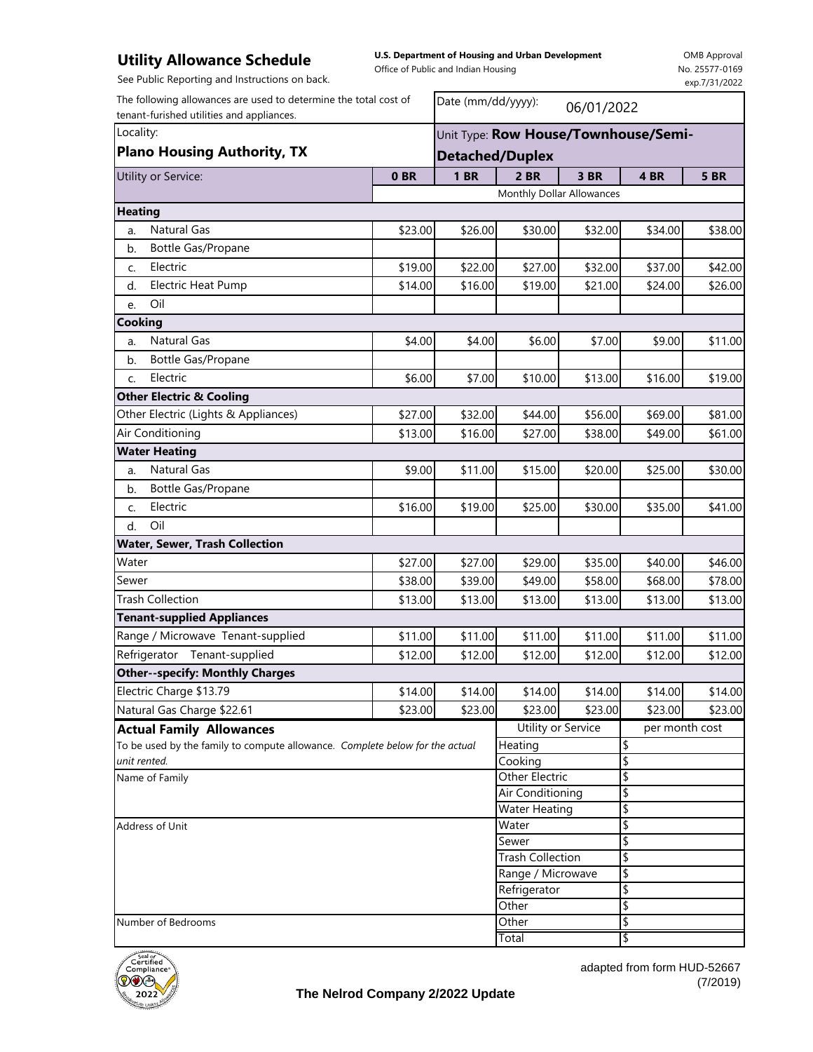## **Utility Allowance Schedule**

**U.S. Department of Housing and Urban Development**  Office of Public and Indian Housing

OMB Approval No. 25577-0169 exp.7/31/2022

See Public Reporting and Instructions on back.

| The following allowances are used to determine the total cost of             |                 | Date (mm/dd/yyyy):<br>06/01/2022     |                           |         |                                 |             |  |                                    |
|------------------------------------------------------------------------------|-----------------|--------------------------------------|---------------------------|---------|---------------------------------|-------------|--|------------------------------------|
| tenant-furished utilities and appliances.<br>Locality:                       |                 | Unit Type: Row House/Townhouse/Semi- |                           |         |                                 |             |  |                                    |
|                                                                              |                 |                                      |                           |         |                                 |             |  | <b>Plano Housing Authority, TX</b> |
| Utility or Service:                                                          | 0 <sub>BR</sub> | <b>1 BR</b>                          | <b>2 BR</b>               | 3 BR    | 4BR                             | <b>5 BR</b> |  |                                    |
|                                                                              |                 |                                      | Monthly Dollar Allowances |         |                                 |             |  |                                    |
| <b>Heating</b>                                                               |                 |                                      |                           |         |                                 |             |  |                                    |
| <b>Natural Gas</b><br>a.                                                     | \$23.00         | \$26.00                              | \$30.00                   | \$32.00 | \$34.00                         | \$38.00     |  |                                    |
| Bottle Gas/Propane<br>b.                                                     |                 |                                      |                           |         |                                 |             |  |                                    |
| Electric<br>C.                                                               | \$19.00         | \$22.00                              | \$27.00                   | \$32.00 | \$37.00                         | \$42.00     |  |                                    |
| <b>Electric Heat Pump</b><br>d.                                              | \$14.00         | \$16.00                              | \$19.00                   | \$21.00 | \$24.00                         | \$26.00     |  |                                    |
| Oil<br>e.                                                                    |                 |                                      |                           |         |                                 |             |  |                                    |
| Cooking                                                                      |                 |                                      |                           |         |                                 |             |  |                                    |
| <b>Natural Gas</b><br>a.                                                     | \$4.00          | \$4.00                               | \$6.00                    | \$7.00  | \$9.00                          | \$11.00     |  |                                    |
| Bottle Gas/Propane<br>b.                                                     |                 |                                      |                           |         |                                 |             |  |                                    |
| Electric<br>C.                                                               | \$6.00          | \$7.00                               | \$10.00                   | \$13.00 | \$16.00                         | \$19.00     |  |                                    |
| <b>Other Electric &amp; Cooling</b>                                          |                 |                                      |                           |         |                                 |             |  |                                    |
| Other Electric (Lights & Appliances)                                         | \$27.00         | \$32.00                              | \$44.00                   | \$56.00 | \$69.00                         | \$81.00     |  |                                    |
| Air Conditioning                                                             | \$13.00         | \$16.00                              | \$27.00                   | \$38.00 | \$49.00                         | \$61.00     |  |                                    |
| <b>Water Heating</b>                                                         |                 |                                      |                           |         |                                 |             |  |                                    |
| <b>Natural Gas</b><br>a.                                                     | \$9.00          | \$11.00                              | \$15.00                   | \$20.00 | \$25.00                         | \$30.00     |  |                                    |
| Bottle Gas/Propane<br>b.                                                     |                 |                                      |                           |         |                                 |             |  |                                    |
| Electric<br>C.                                                               | \$16.00         | \$19.00                              | \$25.00                   | \$30.00 | \$35.00                         | \$41.00     |  |                                    |
| Oil<br>d.                                                                    |                 |                                      |                           |         |                                 |             |  |                                    |
| Water, Sewer, Trash Collection                                               |                 |                                      |                           |         |                                 |             |  |                                    |
| Water                                                                        | \$27.00         | \$27.00                              | \$29.00                   | \$35.00 | \$40.00                         | \$46.00     |  |                                    |
| Sewer                                                                        | \$38.00         | \$39.00                              | \$49.00                   | \$58.00 | \$68.00                         | \$78.00     |  |                                    |
| <b>Trash Collection</b>                                                      | \$13.00         | \$13.00                              | \$13.00                   | \$13.00 | \$13.00                         | \$13.00     |  |                                    |
| <b>Tenant-supplied Appliances</b>                                            |                 |                                      |                           |         |                                 |             |  |                                    |
| Range / Microwave Tenant-supplied                                            | \$11.00         | \$11.00                              | \$11.00                   | \$11.00 | \$11.00                         | \$11.00     |  |                                    |
| Refrigerator Tenant-supplied                                                 | \$12.00         | \$12.00                              | \$12.00                   | \$12.00 | \$12.00                         | \$12.00     |  |                                    |
| <b>Other--specify: Monthly Charges</b>                                       |                 |                                      |                           |         |                                 |             |  |                                    |
| Electric Charge \$13.79                                                      | \$14.00         | \$14.00                              | \$14.00                   | \$14.00 | \$14.00                         | \$14.00     |  |                                    |
| Natural Gas Charge \$22.61                                                   | \$23.00         | \$23.00                              | \$23.00                   | \$23.00 | \$23.00                         | \$23.00     |  |                                    |
| <b>Actual Family Allowances</b>                                              |                 |                                      | Utility or Service        |         | per month cost                  |             |  |                                    |
| To be used by the family to compute allowance. Complete below for the actual |                 |                                      | Heating                   |         | \$                              |             |  |                                    |
| unit rented.                                                                 |                 |                                      | Cooking                   |         | \$                              |             |  |                                    |
| Name of Family                                                               |                 |                                      | Other Electric            |         | $\overline{\boldsymbol{\zeta}}$ |             |  |                                    |
|                                                                              |                 |                                      | <b>Air Conditioning</b>   |         | \$                              |             |  |                                    |
| Address of Unit                                                              |                 | <b>Water Heating</b>                 |                           | \$      |                                 |             |  |                                    |
|                                                                              |                 | Water<br>Sewer                       |                           | \$      |                                 |             |  |                                    |
|                                                                              |                 |                                      | <b>Trash Collection</b>   |         | \$<br>\$                        |             |  |                                    |
|                                                                              |                 |                                      | Range / Microwave         |         | \$                              |             |  |                                    |
|                                                                              |                 |                                      | Refrigerator              |         | \$                              |             |  |                                    |
|                                                                              |                 |                                      | Other                     |         | \$                              |             |  |                                    |
| Number of Bedrooms                                                           |                 |                                      | Other                     |         | \$                              |             |  |                                    |
|                                                                              |                 |                                      | Total                     |         | l\$                             |             |  |                                    |